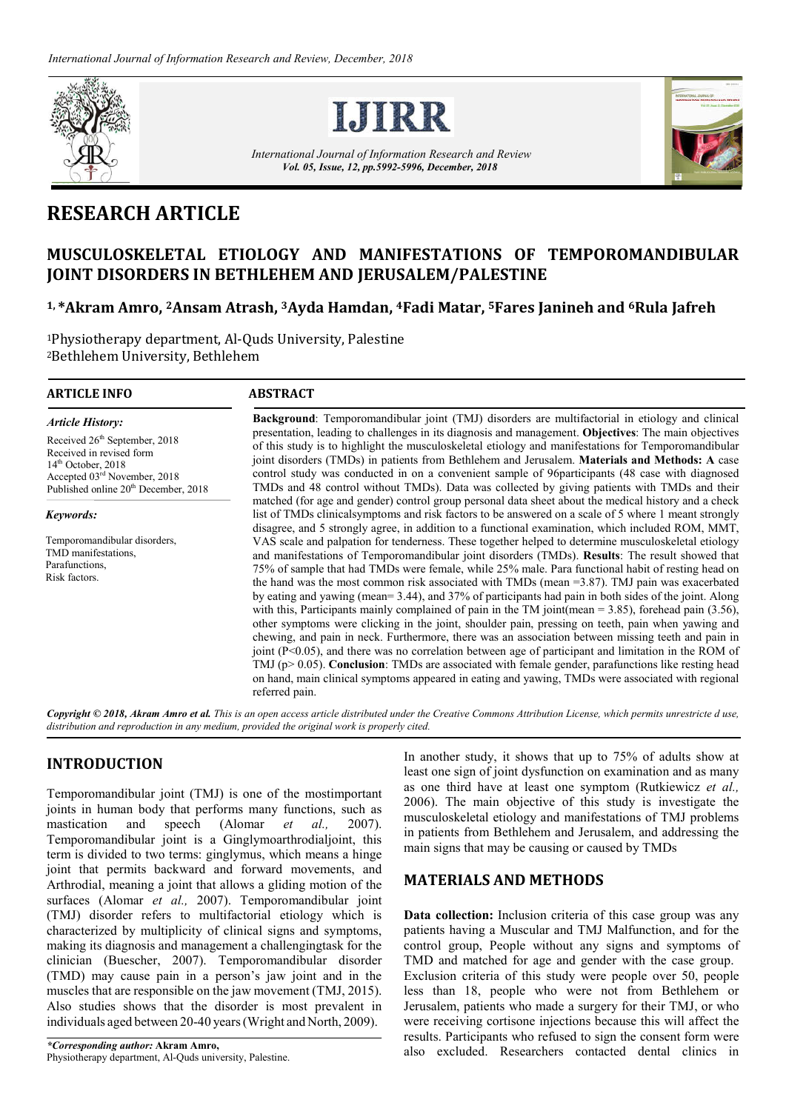



*International Journal of Information Research and Review Vol. 05, Issue, 12, pp.5992-5996, December, 2018*



# **RESEARCH ARTICLE**

## **MUSCULOSKELETAL ETIOLOGY AND MANIFESTATIONS OF TEMPOROMANDIBULAR JOINT DISORDERS IN BETHLEHEM AND JERUSALEM/PALESTINE**

### **1, \*Akram Amro, 2Ansam Atrash, 3Ayda Hamdan, 4Fadi Matar, 5Fares Janineh and 6Rula Jafreh**

1Physiotherapy department, Al-Quds University, Palestine 2Bethlehem University, Bethlehem

#### **ARTICLE INFO ABSTRACT**

Received 26<sup>th</sup> September, 2018 Received in revised form 14<sup>th</sup> October, 2018

Accepted 03rd November, 2018 Published online  $20<sup>th</sup>$  December, 2018

Temporomandibular disorders, TMD manifestations, Parafunctions, Risk factors.

*Article History:*

*Keywords:*

**Background**: Temporomandibular joint (TMJ) disorders are multifactorial in etiology and clinical presentation, leading to challenges in its diagnosis and management. **Objectives**: The main objectives of this study is to highlight the musculoskeletal etiology and manifestations for Temporomandibular joint disorders (TMDs) in patients from Bethlehem and Jerusalem. **Materials and Methods: A** case control study was conducted in on a convenient sample of 96participants (48 case with diagnosed TMDs and 48 control without TMDs). Data was collected by giving patients with TMDs and their matched (for age and gender) control group personal data sheet about the medical history and a check list of TMDs clinicalsymptoms and risk factors to be answered on a scale of 5 where 1 meant strongly disagree, and 5 strongly agree, in addition to a functional examination, which included ROM, MMT, VAS scale and palpation for tenderness. These together helped to determine musculoskeletal etiology and manifestations of Temporomandibular joint disorders (TMDs). **Results**: The result showed that 75% of sample that had TMDs were female, while 25% male. Para functional habit of resting head on the hand was the most common risk associated with TMDs (mean =3.87). TMJ pain was exacerbated by eating and yawing (mean= 3.44), and 37% of participants had pain in both sides of the joint. Along with this, Participants mainly complained of pain in the TM joint(mean = 3.85), forehead pain (3.56), other symptoms were clicking in the joint, shoulder pain, pressing on teeth, pain when yawing and chewing, and pain in neck. Furthermore, there was an association between missing teeth and pain in joint (P<0.05), and there was no correlation between age of participant and limitation in the ROM of TMJ (p> 0.05). **Conclusion**: TMDs are associated with female gender, parafunctions like resting head on hand, main clinical symptoms appeared in eating and yawing, TMDs were associated with regional referred pain.

*Copyright © 2018, Akram Amro et al. This is an open access article distributed under the Creative Commons Attribution License, which permits unrestricte d use, distribution and reproduction in any medium, provided the original work is properly cited.*

### **INTRODUCTION**

Temporomandibular joint (TMJ) is one of the mostimportant joints in human body that performs many functions, such as mastication and speech (Alomar *et al.,* 2007). Temporomandibular joint is a Ginglymoarthrodialjoint, this term is divided to two terms: ginglymus, which means a hinge joint that permits backward and forward movements, and Arthrodial, meaning a joint that allows a gliding motion of the surfaces (Alomar *et al.,* 2007). Temporomandibular joint (TMJ) disorder refers to multifactorial etiology which is characterized by multiplicity of clinical signs and symptoms, making its diagnosis and management a challengingtask for the clinician (Buescher, 2007). Temporomandibular disorder (TMD) may cause pain in a person's jaw joint and in the muscles that are responsible on the jaw movement (TMJ, 2015). Also studies shows that the disorder is most prevalent in individuals aged between 20-40 years(Wright and North, 2009).

In another study, it shows that up to 75% of adults show at least one sign of joint dysfunction on examination and as many as one third have at least one symptom (Rutkiewicz *et al.,*  2006). The main objective of this study is investigate the musculoskeletal etiology and manifestations of TMJ problems in patients from Bethlehem and Jerusalem, and addressing the main signs that may be causing or caused by TMDs

#### **MATERIALS AND METHODS**

**Data collection:** Inclusion criteria of this case group was any patients having a Muscular and TMJ Malfunction, and for the control group, People without any signs and symptoms of TMD and matched for age and gender with the case group. Exclusion criteria of this study were people over 50, people less than 18, people who were not from Bethlehem or Jerusalem, patients who made a surgery for their TMJ, or who were receiving cortisone injections because this will affect the results. Participants who refused to sign the consent form were also excluded. Researchers contacted dental clinics in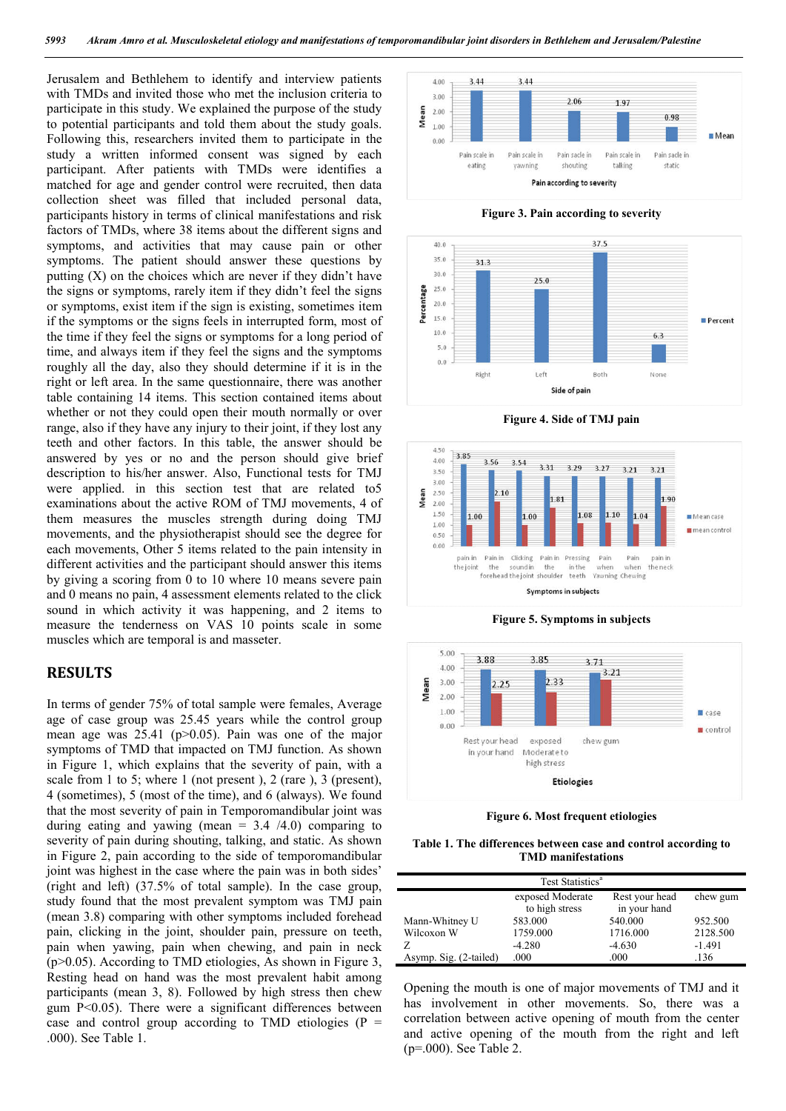Jerusalem and Bethlehem to identify and interview patients with TMDs and invited those who met the inclusion criteria to participate in this study. We explained the purpose of the study to potential participants and told them about the study goals. Following this, researchers invited them to participate in the study a written informed consent was signed by each participant. After patients with TMDs were identifies a matched for age and gender control were recruited, then data collection sheet was filled that included personal data, participants history in terms of clinical manifestations and risk factors of TMDs, where 38 items about the different signs and symptoms, and activities that may cause pain or other symptoms. The patient should answer these questions by putting (X) on the choices which are never if they didn't have the signs or symptoms, rarely item if they didn't feel the signs or symptoms, exist item if the sign is existing, sometimes item if the symptoms or the signs feels in interrupted form, most of the time if they feel the signs or symptoms for a long period of time, and always item if they feel the signs and the symptoms roughly all the day, also they should determine if it is in the right or left area. In the same questionnaire, there was another table containing 14 items. This section contained items about whether or not they could open their mouth normally or over range, also if they have any injury to their joint, if they lost any teeth and other factors. In this table, the answer should be answered by yes or no and the person should give brief description to his/her answer. Also, Functional tests for TMJ were applied. in this section test that are related to5 examinations about the active ROM of TMJ movements, 4 of them measures the muscles strength during doing TMJ movements, and the physiotherapist should see the degree for each movements, Other 5 items related to the pain intensity in different activities and the participant should answer this items by giving a scoring from 0 to 10 where 10 means severe pain and 0 means no pain, 4 assessment elements related to the click sound in which activity it was happening, and 2 items to measure the tenderness on VAS 10 points scale in some muscles which are temporal is and masseter.

#### **RESULTS**

In terms of gender 75% of total sample were females, Average age of case group was 25.45 years while the control group mean age was  $25.41$  (p $>0.05$ ). Pain was one of the major symptoms of TMD that impacted on TMJ function. As shown in Figure 1, which explains that the severity of pain, with a scale from 1 to 5; where 1 (not present ), 2 (rare ), 3 (present), 4 (sometimes), 5 (most of the time), and 6 (always). We found that the most severity of pain in Temporomandibular joint was during eating and yawing (mean  $= 3.4 / 4.0$ ) comparing to severity of pain during shouting, talking, and static. As shown in Figure 2, pain according to the side of temporomandibular joint was highest in the case where the pain was in both sides' (right and left) (37.5% of total sample). In the case group, study found that the most prevalent symptom was TMJ pain (mean 3.8) comparing with other symptoms included forehead pain, clicking in the joint, shoulder pain, pressure on teeth, pain when yawing, pain when chewing, and pain in neck  $(p>0.05)$ . According to TMD etiologies, As shown in Figure 3, Resting head on hand was the most prevalent habit among participants (mean 3, 8). Followed by high stress then chew gum  $P<0.05$ ). There were a significant differences between case and control group according to TMD etiologies ( $P =$ .000). See Table 1.











**Figure 5. Symptoms in subjects**



**Figure 6. Most frequent etiologies**

**Table 1. The differences between case and control according to TMD manifestations**

| Test Statistics <sup>a</sup> |                  |                |          |  |
|------------------------------|------------------|----------------|----------|--|
|                              |                  |                |          |  |
|                              | exposed Moderate | Rest your head | chew gum |  |
|                              | to high stress   | in your hand   |          |  |
| Mann-Whitney U               | 583,000          | 540,000        | 952.500  |  |
| Wilcoxon W                   | 1759.000         | 1716.000       | 2128.500 |  |
|                              | $-4.280$         | $-4.630$       | $-1.491$ |  |
| Asymp. Sig. (2-tailed)       | .000             | .000           | .136     |  |

Opening the mouth is one of major movements of TMJ and it has involvement in other movements. So, there was a correlation between active opening of mouth from the center and active opening of the mouth from the right and left (p=.000). See Table 2.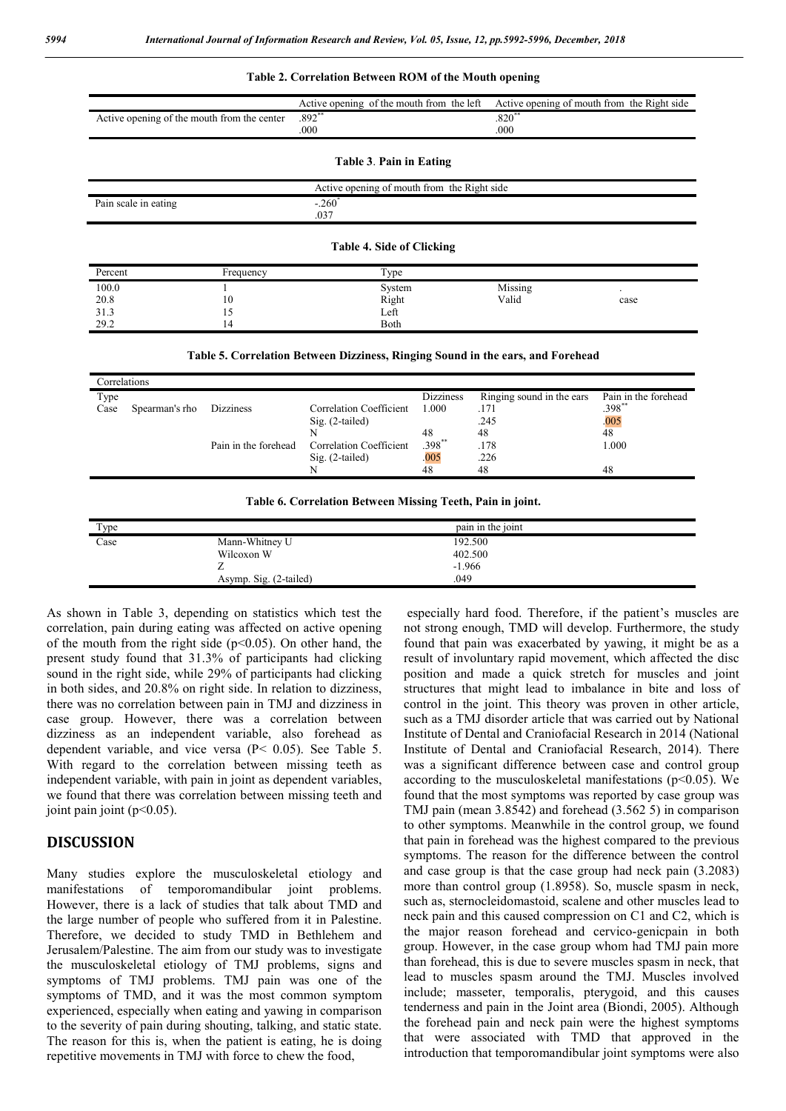#### **Table 2. Correlation Between ROM of the Mouth opening**

|                                             |           | Active opening of the mouth from the left | Active opening of mouth from the Right side |  |  |  |
|---------------------------------------------|-----------|-------------------------------------------|---------------------------------------------|--|--|--|
| Active opening of the mouth from the center |           | $.892**$                                  | $.820**$                                    |  |  |  |
|                                             |           | .000                                      | .000                                        |  |  |  |
|                                             |           |                                           |                                             |  |  |  |
|                                             |           | Table 3. Pain in Eating                   |                                             |  |  |  |
| Active opening of mouth from the Right side |           |                                           |                                             |  |  |  |
| Pain scale in eating                        |           | $-.260^*$                                 |                                             |  |  |  |
|                                             |           | .037                                      |                                             |  |  |  |
|                                             |           |                                           |                                             |  |  |  |
| <b>Table 4. Side of Clicking</b>            |           |                                           |                                             |  |  |  |
| Percent                                     | Frequency | Type                                      |                                             |  |  |  |
| 100.0                                       |           | System                                    | Missing<br>$\ddot{\phantom{0}}$             |  |  |  |
| 20.8                                        | 10        | Right                                     | Valid<br>case                               |  |  |  |
| 31.3                                        | 15        | Left                                      |                                             |  |  |  |

#### **Table 5. Correlation Between Dizziness, Ringing Sound in the ears, and Forehead**

| Correlations |                |                      |                         |                  |                           |                      |
|--------------|----------------|----------------------|-------------------------|------------------|---------------------------|----------------------|
| Type         |                |                      |                         | <b>Dizziness</b> | Ringing sound in the ears | Pain in the forehead |
| Case         | Spearman's rho | <b>Dizziness</b>     | Correlation Coefficient | 1.000            | .171                      | $.398**$             |
|              |                |                      | $Sig. (2-tailed)$       |                  | .245                      | .005                 |
|              |                |                      |                         | 48               | 48                        | 48                   |
|              |                | Pain in the forehead | Correlation Coefficient | .398**           | .178                      | 1.000                |
|              |                |                      | $Sig. (2-tailed)$       | 005              | .226                      |                      |
|              |                |                      |                         | 48               | 48                        | 48                   |

| Table 6. Correlation Between Missing Teeth, Pain in joint. |  |  |  |
|------------------------------------------------------------|--|--|--|

| Type |                        | pain in the joint |  |
|------|------------------------|-------------------|--|
| Case | Mann-Whitney U         | 192.500           |  |
|      | Wilcoxon W             | 402.500           |  |
|      |                        | $-1.966$          |  |
|      | Asymp. Sig. (2-tailed) | .049              |  |
|      |                        |                   |  |

As shown in Table 3, depending on statistics which test the correlation, pain during eating was affected on active opening of the mouth from the right side ( $p$ <0.05). On other hand, the present study found that 31.3% of participants had clicking sound in the right side, while 29% of participants had clicking in both sides, and 20.8% on right side. In relation to dizziness, there was no correlation between pain in TMJ and dizziness in case group. However, there was a correlation between dizziness as an independent variable, also forehead as dependent variable, and vice versa (P< 0.05). See Table 5. With regard to the correlation between missing teeth as independent variable, with pain in joint as dependent variables, we found that there was correlation between missing teeth and joint pain joint  $(p<0.05)$ .

29.2 14 Both

#### **DISCUSSION**

Many studies explore the musculoskeletal etiology and manifestations of temporomandibular joint problems. However, there is a lack of studies that talk about TMD and the large number of people who suffered from it in Palestine. Therefore, we decided to study TMD in Bethlehem and Jerusalem/Palestine. The aim from our study was to investigate the musculoskeletal etiology of TMJ problems, signs and symptoms of TMJ problems. TMJ pain was one of the symptoms of TMD, and it was the most common symptom experienced, especially when eating and yawing in comparison to the severity of pain during shouting, talking, and static state. The reason for this is, when the patient is eating, he is doing repetitive movements in TMJ with force to chew the food,

especially hard food. Therefore, if the patient's muscles are not strong enough, TMD will develop. Furthermore, the study found that pain was exacerbated by yawing, it might be as a result of involuntary rapid movement, which affected the disc position and made a quick stretch for muscles and joint structures that might lead to imbalance in bite and loss of control in the joint. This theory was proven in other article, such as a TMJ disorder article that was carried out by National Institute of Dental and Craniofacial Research in 2014 (National Institute of Dental and Craniofacial Research, 2014). There was a significant difference between case and control group according to the musculoskeletal manifestations ( $p$ <0.05). We found that the most symptoms was reported by case group was TMJ pain (mean 3.8542) and forehead (3.562 5) in comparison to other symptoms. Meanwhile in the control group, we found that pain in forehead was the highest compared to the previous symptoms. The reason for the difference between the control and case group is that the case group had neck pain (3.2083) more than control group (1.8958). So, muscle spasm in neck, such as, sternocleidomastoid, scalene and other muscles lead to neck pain and this caused compression on C1 and C2, which is the major reason forehead and cervico-genicpain in both group. However, in the case group whom had TMJ pain more than forehead, this is due to severe muscles spasm in neck, that lead to muscles spasm around the TMJ. Muscles involved include; masseter, temporalis, pterygoid, and this causes tenderness and pain in the Joint area (Biondi, 2005). Although the forehead pain and neck pain were the highest symptoms that were associated with TMD that approved in the introduction that temporomandibular joint symptoms were also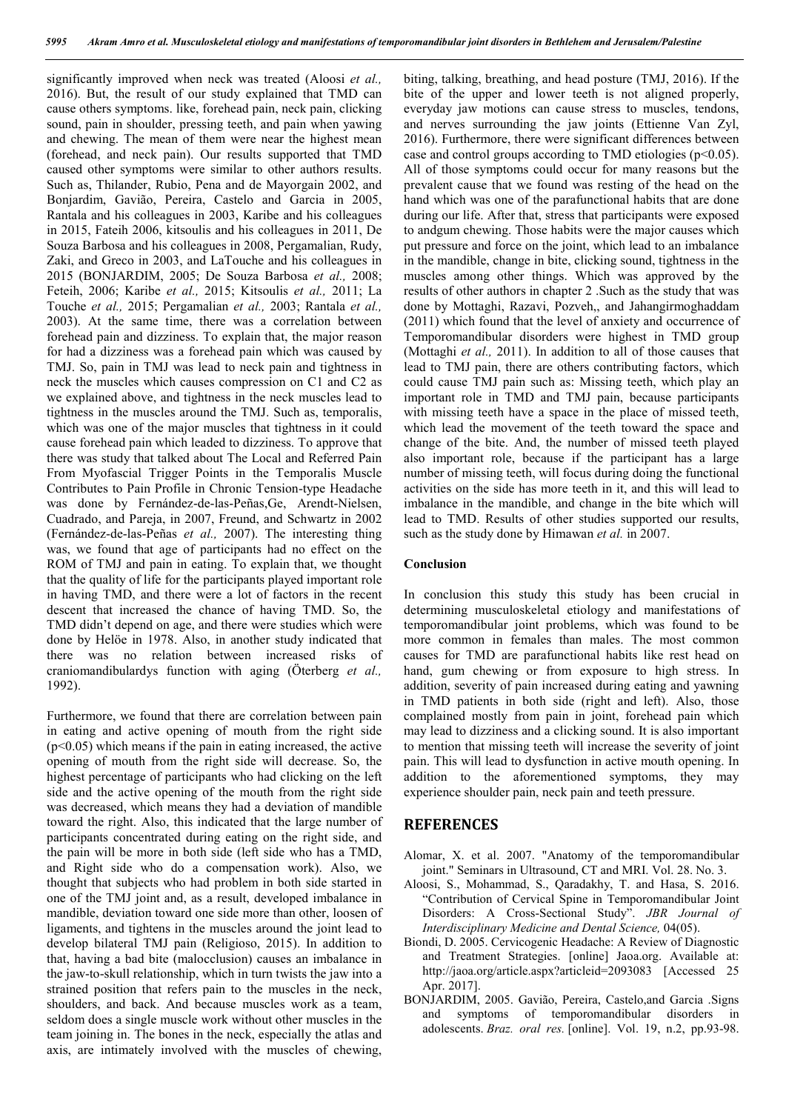significantly improved when neck was treated (Aloosi *et al.,*  2016). But, the result of our study explained that TMD can cause others symptoms. like, forehead pain, neck pain, clicking sound, pain in shoulder, pressing teeth, and pain when yawing and chewing. The mean of them were near the highest mean (forehead, and neck pain). Our results supported that TMD caused other symptoms were similar to other authors results. Such as, Thilander, Rubio, Pena and de Mayorgain 2002, and Bonjardim, Gavião, Pereira, Castelo and Garcia in 2005, Rantala and his colleagues in 2003, Karibe and his colleagues in 2015, Fateih 2006, kitsoulis and his colleagues in 2011, De Souza Barbosa and his colleagues in 2008, Pergamalian, Rudy, Zaki, and Greco in 2003, and LaTouche and his colleagues in 2015 (BONJARDIM, 2005; De Souza Barbosa *et al.,* 2008; Feteih, 2006; Karibe *et al.,* 2015; Kitsoulis *et al.,* 2011; La Touche *et al.,* 2015; Pergamalian *et al.,* 2003; Rantala *et al.,*  2003). At the same time, there was a correlation between forehead pain and dizziness. To explain that, the major reason for had a dizziness was a forehead pain which was caused by TMJ. So, pain in TMJ was lead to neck pain and tightness in neck the muscles which causes compression on C1 and C2 as we explained above, and tightness in the neck muscles lead to tightness in the muscles around the TMJ. Such as, temporalis, which was one of the major muscles that tightness in it could cause forehead pain which leaded to dizziness. To approve that there was study that talked about The Local and Referred Pain From Myofascial Trigger Points in the Temporalis Muscle Contributes to Pain Profile in Chronic Tension-type Headache was done by Fernández-de-las-Peñas,Ge, Arendt-Nielsen, Cuadrado, and Pareja, in 2007, Freund, and Schwartz in 2002 (Fernández-de-las-Peñas *et al.,* 2007). The interesting thing was, we found that age of participants had no effect on the ROM of TMJ and pain in eating. To explain that, we thought that the quality of life for the participants played important role in having TMD, and there were a lot of factors in the recent descent that increased the chance of having TMD. So, the TMD didn't depend on age, and there were studies which were done by Helöe in 1978. Also, in another study indicated that there was no relation between increased risks of craniomandibulardys function with aging (Öterberg *et al.,*  1992).

Furthermore, we found that there are correlation between pain in eating and active opening of mouth from the right side  $(p<0.05)$  which means if the pain in eating increased, the active opening of mouth from the right side will decrease. So, the highest percentage of participants who had clicking on the left side and the active opening of the mouth from the right side was decreased, which means they had a deviation of mandible toward the right. Also, this indicated that the large number of participants concentrated during eating on the right side, and the pain will be more in both side (left side who has a TMD, and Right side who do a compensation work). Also, we thought that subjects who had problem in both side started in one of the TMJ joint and, as a result, developed imbalance in mandible, deviation toward one side more than other, loosen of ligaments, and tightens in the muscles around the joint lead to develop bilateral TMJ pain (Religioso, 2015). In addition to that, having a bad bite (malocclusion) causes an imbalance in the jaw-to-skull relationship, which in turn twists the jaw into a strained position that refers pain to the muscles in the neck, shoulders, and back. And because muscles work as a team, seldom does a single muscle work without other muscles in the team joining in. The bones in the neck, especially the atlas and axis, are intimately involved with the muscles of chewing,

biting, talking, breathing, and head posture (TMJ, 2016). If the bite of the upper and lower teeth is not aligned properly, everyday jaw motions can cause stress to muscles, tendons, and nerves surrounding the jaw joints (Ettienne Van Zyl, 2016). Furthermore, there were significant differences between case and control groups according to TMD etiologies  $(p<0.05)$ . All of those symptoms could occur for many reasons but the prevalent cause that we found was resting of the head on the hand which was one of the parafunctional habits that are done during our life. After that, stress that participants were exposed to andgum chewing. Those habits were the major causes which put pressure and force on the joint, which lead to an imbalance in the mandible, change in bite, clicking sound, tightness in the muscles among other things. Which was approved by the results of other authors in chapter 2 .Such as the study that was done by Mottaghi, Razavi, Pozveh,, and Jahangirmoghaddam (2011) which found that the level of anxiety and occurrence of Temporomandibular disorders were highest in TMD group (Mottaghi *et al.,* 2011). In addition to all of those causes that lead to TMJ pain, there are others contributing factors, which could cause TMJ pain such as: Missing teeth, which play an important role in TMD and TMJ pain, because participants with missing teeth have a space in the place of missed teeth, which lead the movement of the teeth toward the space and change of the bite. And, the number of missed teeth played also important role, because if the participant has a large number of missing teeth, will focus during doing the functional activities on the side has more teeth in it, and this will lead to imbalance in the mandible, and change in the bite which will lead to TMD. Results of other studies supported our results, such as the study done by Himawan *et al.* in 2007.

#### **Conclusion**

In conclusion this study this study has been crucial in determining musculoskeletal etiology and manifestations of temporomandibular joint problems, which was found to be more common in females than males. The most common causes for TMD are parafunctional habits like rest head on hand, gum chewing or from exposure to high stress. In addition, severity of pain increased during eating and yawning in TMD patients in both side (right and left). Also, those complained mostly from pain in joint, forehead pain which may lead to dizziness and a clicking sound. It is also important to mention that missing teeth will increase the severity of joint pain. This will lead to dysfunction in active mouth opening. In addition to the aforementioned symptoms, they may experience shoulder pain, neck pain and teeth pressure.

#### **REFERENCES**

- Alomar, X. et al. 2007. "Anatomy of the temporomandibular joint." Seminars in Ultrasound, CT and MRI. Vol. 28. No. 3.
- Aloosi, S., Mohammad, S., Qaradakhy, T. and Hasa, S. 2016. "Contribution of Cervical Spine in Temporomandibular Joint Disorders: A Cross-Sectional Study". *JBR Journal of Interdisciplinary Medicine and Dental Science,* 04(05).
- Biondi, D. 2005. Cervicogenic Headache: A Review of Diagnostic and Treatment Strategies. [online] Jaoa.org. Available at: http://jaoa.org/article.aspx?articleid=2093083 [Accessed 25 Apr. 2017].
- BONJARDIM, 2005. Gavião, Pereira, Castelo,and Garcia .Signs and symptoms of temporomandibular disorders in adolescents. *Braz. oral res.* [online]. Vol. 19, n.2, pp.93-98.